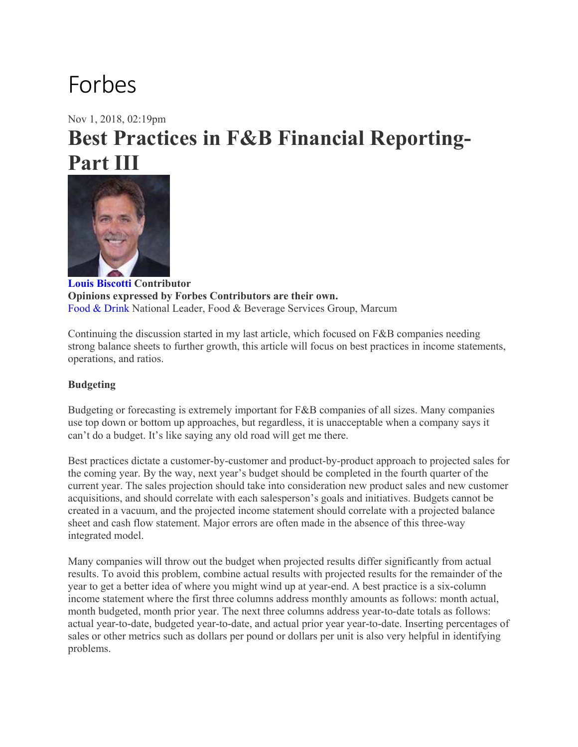# Forbes

Nov 1, 2018, 02:19pm **Best Practices in F&B Financial Reporting-Part III** 



**Louis Biscotti Contributor Opinions expressed by Forbes Contributors are their own.** Food & Drink National Leader, Food & Beverage Services Group, Marcum

Continuing the discussion started in my last article, which focused on F&B companies needing strong balance sheets to further growth, this article will focus on best practices in income statements, operations, and ratios.

## **Budgeting**

Budgeting or forecasting is extremely important for F&B companies of all sizes. Many companies use top down or bottom up approaches, but regardless, it is unacceptable when a company says it can't do a budget. It's like saying any old road will get me there.

Best practices dictate a customer-by-customer and product-by-product approach to projected sales for the coming year. By the way, next year's budget should be completed in the fourth quarter of the current year. The sales projection should take into consideration new product sales and new customer acquisitions, and should correlate with each salesperson's goals and initiatives. Budgets cannot be created in a vacuum, and the projected income statement should correlate with a projected balance sheet and cash flow statement. Major errors are often made in the absence of this three-way integrated model.

Many companies will throw out the budget when projected results differ significantly from actual results. To avoid this problem, combine actual results with projected results for the remainder of the year to get a better idea of where you might wind up at year-end. A best practice is a six-column income statement where the first three columns address monthly amounts as follows: month actual, month budgeted, month prior year. The next three columns address year-to-date totals as follows: actual year-to-date, budgeted year-to-date, and actual prior year year-to-date. Inserting percentages of sales or other metrics such as dollars per pound or dollars per unit is also very helpful in identifying problems.